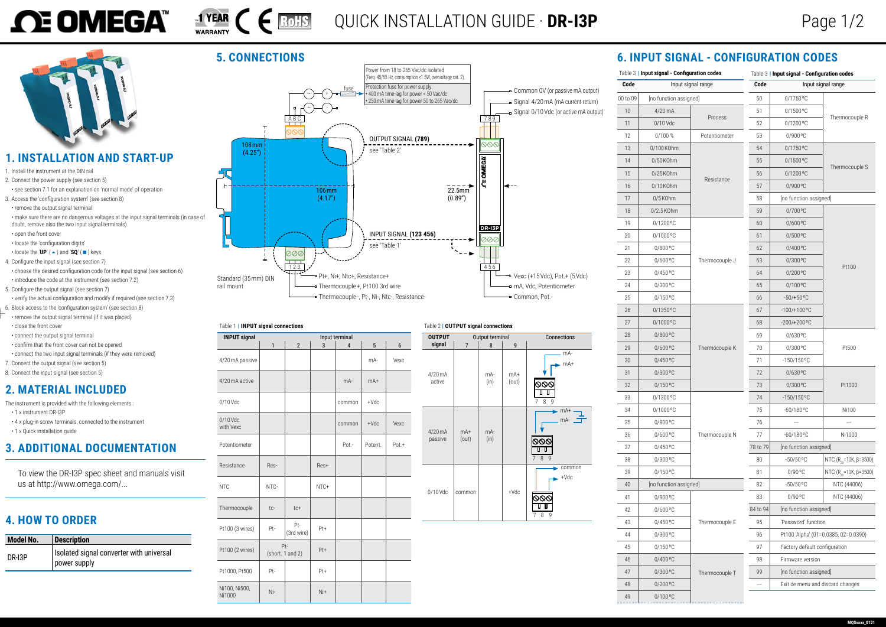

## **1. INSTALLATION AND START-UP**

- 1. Install the instrument at the DIN rail
- 2. Connect the power supply [\(see section 5\)](#page-0-0) • see section [7.1](#page-1-0) for an explanation on 'normal mode' of operation
- 3. Access the 'configuration system' (see [section](#page-1-1) 8) • remove the output signal terminal
- make sure there are no dangerous voltages at the input signal terminals (in case of doubt, remove also the two input signal terminals)
- open the front cover
- locate the 'configuration digits'
- locate the ' $UP'$  ( $\blacktriangle$ ) and 'SQ' ( $\blacksquare$ ) keys 4. Configure the input signal (see [section](#page-1-2) 7)
- choose the desired configuration code for the input signal (see [section](#page-0-1) 6) • introduce the code at the instrument [\(see section 7.2\)](#page-1-3)
- 5. Configure the output signal (see [section](#page-1-2) 7) • verify the actual configuration and modify if required (see [section](#page-1-4) 7.3)
- 6. Block access to the 'configuration system' (see [section](#page-1-1) 8)
- remove the output signal terminal (if it was placed) • close the front cover
- connect the output signal terminal
- confirm that the front cover can not be opened
- connect the two input signal terminals (if they were removed)
- 7. Connect the output signal [\(see section 5\)](#page-0-0)
- 8. Connect the input signal (see [section](#page-0-0) 5)

- The instrument is provided with the following elements :
- 1 x instrument DR-I3P
- 4 x plug-in screw terminals, connected to the instrument
- <span id="page-0-4"></span>• 1 x Quick installation guide

## **2. MATERIAL INCLUDED**

## **3. ADDITIONAL DOCUMENTATION**

<span id="page-0-2"></span>

| Table 1   INPUT signal connections |                         |                   |      |        |         |          |
|------------------------------------|-------------------------|-------------------|------|--------|---------|----------|
| <b>INPUT signal</b>                | Input terminal          |                   |      |        |         |          |
|                                    | 1                       | $\overline{2}$    | 3    | 4      | 5       | 6        |
| 4/20 mA passive                    |                         |                   |      |        | mA-     | Vexc     |
| 4/20 mA active                     |                         |                   |      | $mA -$ | $mA+$   |          |
| $0/10$ Vdc                         |                         |                   |      | common | $+Vdc$  |          |
| 0/10 Vdc<br>with Vexc              |                         |                   |      | common | $+Vdc$  | Vexc     |
| Potentiometer                      |                         |                   |      | Pot.-  | Potent. | $Pot. +$ |
| Resistance                         | Res-                    |                   | Res+ |        |         |          |
| <b>NTC</b>                         | NTC-                    |                   | NTC+ |        |         |          |
| Thermocouple                       | tc-                     | $tc+$             |      |        |         |          |
| Pt100 (3 wires)                    | Pt-                     | Pt-<br>(3rd wire) | Pt+  |        |         |          |
| Pt100 (2 wires)                    | Pt-<br>(short. 1 and 2) |                   | Pt+  |        |         |          |
| Pt1000, Pt500                      | Pt-                     |                   | Pt+  |        |         |          |
| Ni100, Ni500,<br>Ni1000            | Ni-                     |                   | Ni+  |        |         |          |

|  | Table 2   OUTPUT signal connections |
|--|-------------------------------------|
|  |                                     |

<span id="page-0-3"></span>

| <b>OUTPUT</b>       | Output terminal |                |                | Connections                              |
|---------------------|-----------------|----------------|----------------|------------------------------------------|
| signal              | $\overline{7}$  | 8              | 9              |                                          |
| $4/20$ mA<br>active |                 | mA-<br>(in)    | $mA+$<br>(out) | mA-<br>mA+<br>U<br>7<br>8<br>9           |
| 4/20 mA<br>passive  | $mA+$<br>(out)  | $mA -$<br>(in) |                | $mA+$<br>mA-<br>8<br>9<br>$\overline{7}$ |
| 0/10 Vdc            | common          |                | $+Vdc$         | common<br>$+Vdc$<br>8<br>7<br>9          |

<span id="page-0-1"></span>

|                            | Table 3   Input signal - Configuration codes |                |                    | Table 3   Input signal - Configuration codes |                                      |  |
|----------------------------|----------------------------------------------|----------------|--------------------|----------------------------------------------|--------------------------------------|--|
| Code<br>Input signal range |                                              | Code           | Input signal range |                                              |                                      |  |
| 00 to 09                   | [no function assigned]                       |                | 50                 | 0/1750 °C                                    |                                      |  |
| 10                         | 4/20 mA                                      |                | 51                 | 0/1500°C                                     |                                      |  |
| 11                         | 0/10 Vdc                                     | Process        | 52                 | 0/1200°C                                     | Thermocouple R                       |  |
| 12                         | 0/100%                                       | Potentiometer  | 53                 | 0/900 °C                                     |                                      |  |
| 13                         | 0/100K0hm                                    |                | 54                 | 0/1750 °C                                    |                                      |  |
| 14                         | 0/50 KOhm                                    |                | 55                 | $0/1500$ °C                                  |                                      |  |
| 15                         | $0/25$ KOhm                                  |                | 56                 | 0/1200°C                                     | Thermocouple S                       |  |
| 16                         | 0/10KOhm                                     | Resistance     | 57                 | 0/900°C                                      |                                      |  |
| 17                         | 0/5K0hm                                      |                | 58                 | [no function assigned]                       |                                      |  |
| 18                         | 0/2.5K0hm                                    |                | 59                 | 0/700°C                                      |                                      |  |
| 19                         | 0/1200°C                                     |                | 60                 | 0/600°C                                      |                                      |  |
| 20                         | 0/1000 °C                                    |                | 61                 | 0/500 °C                                     |                                      |  |
| 21                         | 0/800°C                                      |                | 62                 | 0/400°C                                      |                                      |  |
| 22                         | $0/600$ °C                                   | Thermocouple J | 63                 | $0/300$ °C                                   |                                      |  |
| 23                         | $0/450$ °C                                   |                | 64                 | 0/200 °C                                     | Pt100                                |  |
| 24                         | 0/300°C                                      |                | 65                 | 0/100°C                                      |                                      |  |
| 25                         | $0/150$ °C                                   |                | 66                 | $-50/+50$ °C                                 |                                      |  |
| 26                         | 0/1350 °C                                    |                | 67                 | $-100/+100°C$                                |                                      |  |
| 27                         | 0/1000 °C                                    |                | 68                 | $-200/+200°C$                                |                                      |  |
| 28                         | $0/800$ °C                                   |                | 69                 | $0/630$ °C                                   |                                      |  |
| 29                         | $0/600$ °C                                   | Thermocouple K | 70                 | 0/300 °C                                     | Pt500                                |  |
| 30                         | 0/450°C                                      |                | 71                 | $-150/150$ °C                                |                                      |  |
| 31                         | 0/300°C                                      |                | 72                 | 0/630°C                                      |                                      |  |
| 32                         | 0/150°C                                      |                | 73                 | 0/300 °C                                     | Pt1000                               |  |
| 33                         | $0/1300$ °C                                  |                | 74                 | $-150/150$ °C                                |                                      |  |
| 34                         | 0/1000°C                                     |                | 75                 | $-60/180$ °C                                 | Ni100                                |  |
| 35                         | 0/800°C                                      |                | 76                 |                                              |                                      |  |
| 36                         | 0/600°C                                      | Thermocouple N | 77                 | $-60/180$ °C                                 | Ni1000                               |  |
| 37                         | 0/450°C                                      |                | 78 to 79           | [no function assigned]                       |                                      |  |
| 38                         | 0/300°C                                      |                | 80                 | $-50/50$ °C                                  | NTC (R <sub>25</sub> =10K, β=3500)   |  |
| 39                         | 0/150°C                                      |                | 81                 | 0/90 °C                                      | NTC (R <sub>25</sub> =10K, β=3500)   |  |
| 40                         | [no function assigned]                       |                | 82                 | $-50/50$ °C                                  | NTC (44006)                          |  |
| 41                         | 0/900°C                                      |                | 83                 | 0/90 °C                                      | NTC (44006)                          |  |
| 42                         | 0/600°C                                      |                | 84 to 94           | [no function assigned]                       |                                      |  |
| 43                         | 0/450°C                                      | Thermocouple E | 95                 | 'Password' function                          |                                      |  |
| 44                         | 0/300°C                                      |                | 96                 |                                              | Pt100 'Alpha' (01=0.0385, 02=0.0390) |  |
| 45                         | 0/150°C                                      |                | 97                 | Factory default configuration                |                                      |  |
| 46                         | 0/400°C                                      |                | 98                 | Firmware version                             |                                      |  |
| 47                         | 0/300°C                                      | Thermocouple T | 99                 | [no function assigned]                       |                                      |  |
| 48                         | 0/200°C                                      |                | ---                |                                              | Exit de menu and discard changes     |  |
| 49                         | 0/100°C                                      |                |                    |                                              |                                      |  |



To view the DR-I3P spec sheet and manuals visit us at http://www.omega.com/...



## **4. HOW TO ORDER**

| <b>Model No.</b> | <b>Description</b>                                       |
|------------------|----------------------------------------------------------|
| DR-13P           | Isolated signal converter with universal<br>power supply |

## <span id="page-0-0"></span>**5. CONNECTIONS 6. INPUT SIGNAL - CONFIGURATION CODES**